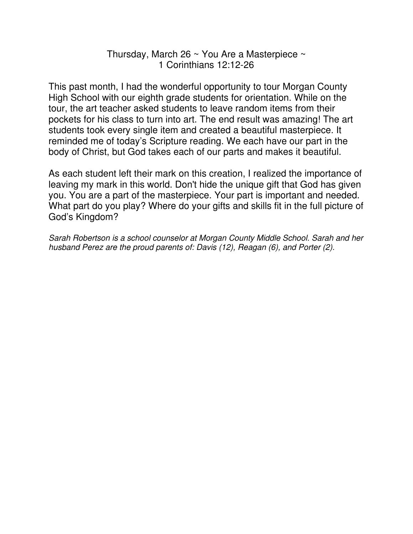## Thursday, March 26  $\sim$  You Are a Masterpiece  $\sim$ 1 Corinthians 12:12-26

This past month, I had the wonderful opportunity to tour Morgan County High School with our eighth grade students for orientation. While on the tour, the art teacher asked students to leave random items from their pockets for his class to turn into art. The end result was amazing! The art students took every single item and created a beautiful masterpiece. It reminded me of today's Scripture reading. We each have our part in the body of Christ, but God takes each of our parts and makes it beautiful.

As each student left their mark on this creation, I realized the importance of leaving my mark in this world. Don't hide the unique gift that God has given you. You are a part of the masterpiece. Your part is important and needed. What part do you play? Where do your gifts and skills fit in the full picture of God's Kingdom?

Sarah Robertson is a school counselor at Morgan County Middle School. Sarah and her husband Perez are the proud parents of: Davis (12), Reagan (6), and Porter (2).